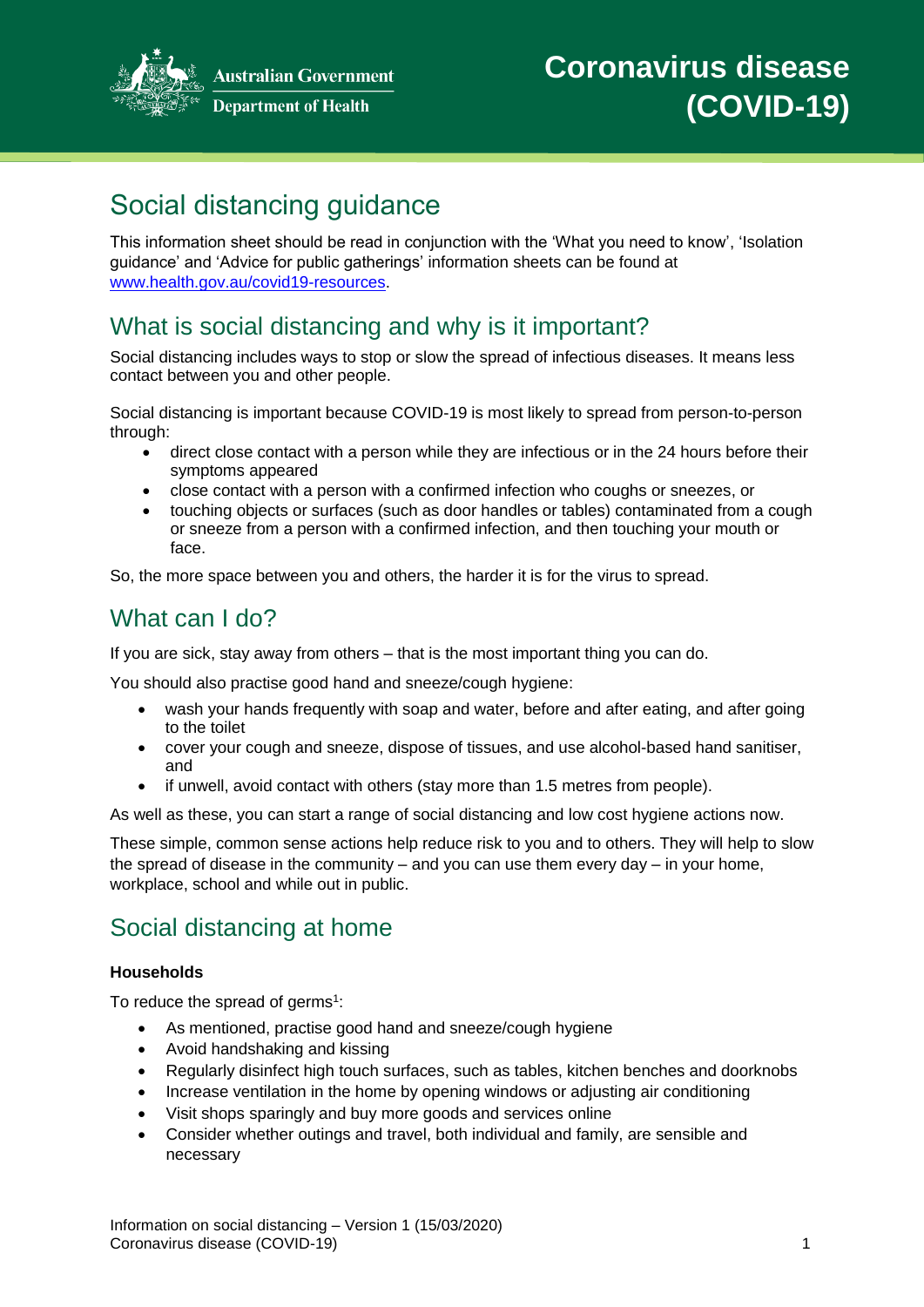

**Australian Government Department of Health** 

# Social distancing guidance

This information sheet should be read in conjunction with the 'What you need to know', 'Isolation guidance' and 'Advice for public gatherings' information sheets can be found at [www.health.gov.au/covid19-resources.](http://www.health.gov.au/covid19-resources)

### What is social distancing and why is it important?

Social distancing includes ways to stop or slow the spread of infectious diseases. It means less contact between you and other people.

Social distancing is important because COVID-19 is most likely to spread from person-to-person through:

- direct close contact with a person while they are infectious or in the 24 hours before their symptoms appeared
- close contact with a person with a confirmed infection who coughs or sneezes, or
- touching objects or surfaces (such as door handles or tables) contaminated from a cough or sneeze from a person with a confirmed infection, and then touching your mouth or face.

So, the more space between you and others, the harder it is for the virus to spread.

#### What can I do?

If you are sick, stay away from others – that is the most important thing you can do.

You should also practise good hand and sneeze/cough hygiene:

- wash your hands frequently with soap and water, before and after eating, and after going to the toilet
- cover your cough and sneeze, dispose of tissues, and use alcohol-based hand sanitiser, and
- if unwell, avoid contact with others (stay more than 1.5 metres from people).

As well as these, you can start a range of social distancing and low cost hygiene actions now.

These simple, common sense actions help reduce risk to you and to others. They will help to slow the spread of disease in the community – and you can use them every day – in your home, workplace, school and while out in public.

### Social distancing at home

#### **Households**

To reduce the spread of germs<sup>1</sup>:

- As mentioned, practise good hand and sneeze/cough hygiene
- Avoid handshaking and kissing
- Regularly disinfect high touch surfaces, such as tables, kitchen benches and doorknobs
- Increase ventilation in the home by opening windows or adjusting air conditioning
- Visit shops sparingly and buy more goods and services online
- Consider whether outings and travel, both individual and family, are sensible and necessary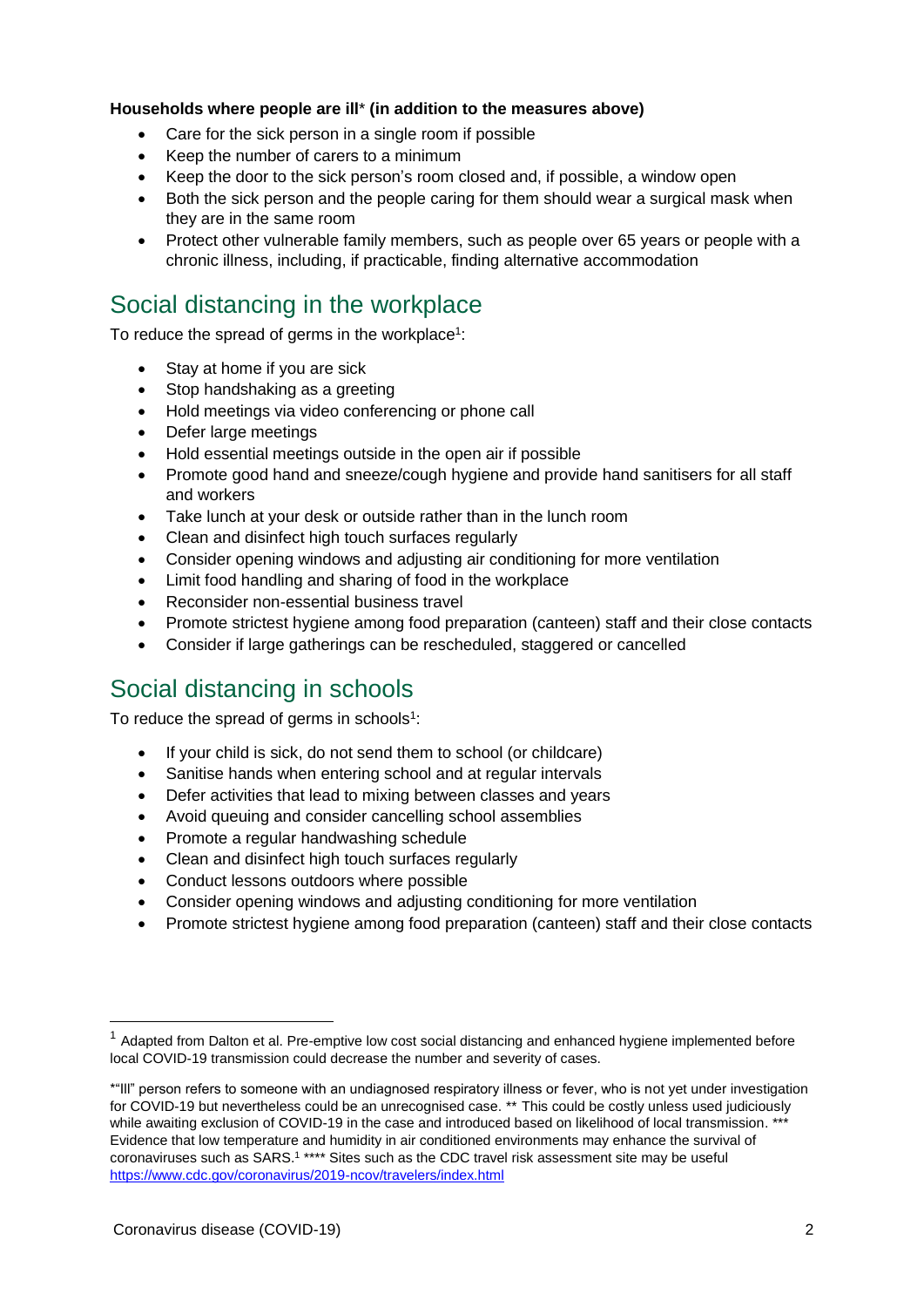#### **Households where people are ill**\* **(in addition to the measures above)**

- Care for the sick person in a single room if possible
- Keep the number of carers to a minimum
- Keep the door to the sick person's room closed and, if possible, a window open
- Both the sick person and the people caring for them should wear a surgical mask when they are in the same room
- Protect other vulnerable family members, such as people over 65 years or people with a chronic illness, including, if practicable, finding alternative accommodation

#### Social distancing in the workplace

To reduce the spread of germs in the workplace<sup>1</sup>:

- Stay at home if you are sick
- Stop handshaking as a greeting
- Hold meetings via video conferencing or phone call
- Defer large meetings
- Hold essential meetings outside in the open air if possible
- Promote good hand and sneeze/cough hygiene and provide hand sanitisers for all staff and workers
- Take lunch at your desk or outside rather than in the lunch room
- Clean and disinfect high touch surfaces regularly
- Consider opening windows and adjusting air conditioning for more ventilation
- Limit food handling and sharing of food in the workplace
- Reconsider non-essential business travel
- Promote strictest hygiene among food preparation (canteen) staff and their close contacts
- Consider if large gatherings can be rescheduled, staggered or cancelled

### Social distancing in schools

To reduce the spread of germs in schools<sup>1</sup>:

- If your child is sick, do not send them to school (or childcare)
- Sanitise hands when entering school and at regular intervals
- Defer activities that lead to mixing between classes and years
- Avoid queuing and consider cancelling school assemblies
- Promote a regular handwashing schedule
- Clean and disinfect high touch surfaces regularly
- Conduct lessons outdoors where possible
- Consider opening windows and adjusting conditioning for more ventilation
- Promote strictest hygiene among food preparation (canteen) staff and their close contacts

 $1$  Adapted from Dalton et al. Pre-emptive low cost social distancing and enhanced hygiene implemented before local COVID-19 transmission could decrease the number and severity of cases.

<sup>\*&</sup>quot;Ill" person refers to someone with an undiagnosed respiratory illness or fever, who is not yet under investigation for COVID-19 but nevertheless could be an unrecognised case. \*\* This could be costly unless used judiciously while awaiting exclusion of COVID-19 in the case and introduced based on likelihood of local transmission. \*\*\* Evidence that low temperature and humidity in air conditioned environments may enhance the survival of coronaviruses such as SARS.<sup>1</sup> \*\*\*\* Sites such as the CDC travel risk assessment site may be useful <https://www.cdc.gov/coronavirus/2019-ncov/travelers/index.html>